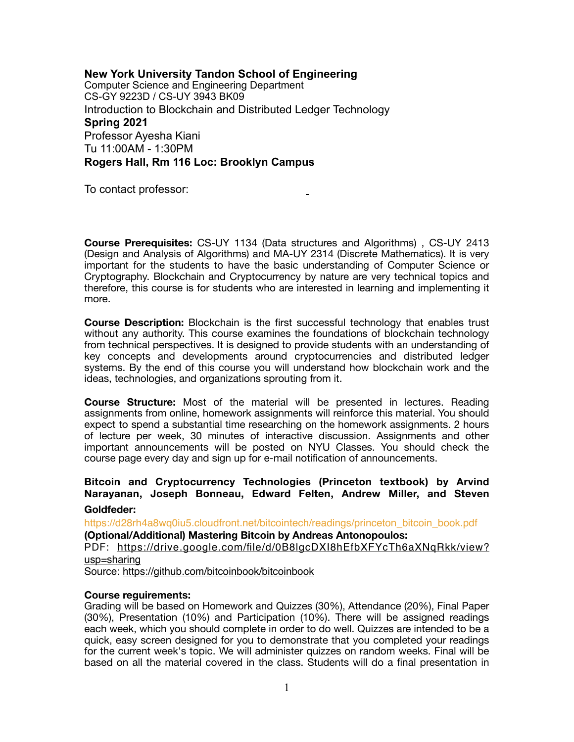**New York University Tandon School of Engineering**  Computer Science and Engineering Department CS-GY 9223D / CS-UY 3943 BK09 Introduction to Blockchain and Distributed Ledger Technology **Spring 2021**  Professor Ayesha Kiani Tu 11:00AM - 1:30PM **Rogers Hall, Rm 116 Loc: Brooklyn Campus** 

To contact professor:

**Course Prerequisites:** CS-UY 1134 (Data structures and Algorithms) , CS-UY 2413 (Design and Analysis of Algorithms) and MA-UY 2314 (Discrete Mathematics). It is very important for the students to have the basic understanding of Computer Science or Cryptography. Blockchain and Cryptocurrency by nature are very technical topics and therefore, this course is for students who are interested in learning and implementing it more.

**Course Description:** Blockchain is the first successful technology that enables trust without any authority. This course examines the foundations of blockchain technology from technical perspectives. It is designed to provide students with an understanding of key concepts and developments around cryptocurrencies and distributed ledger systems. By the end of this course you will understand how blockchain work and the ideas, technologies, and organizations sprouting from it.

**Course Structure:** Most of the material will be presented in lectures. Reading assignments from online, homework assignments will reinforce this material. You should expect to spend a substantial time researching on the homework assignments. 2 hours of lecture per week, 30 minutes of interactive discussion. Assignments and other important announcements will be posted on NYU Classes. You should check the course page every day and sign up for e-mail notification of announcements.

### **Bitcoin and Cryptocurrency Technologies (Princeton textbook) by Arvind Narayanan, Joseph Bonneau, Edward Felten, Andrew Miller, and Steven Goldfeder:**

[https://d28rh4a8wq0iu5.cloudfront.net/bitcointech/readings/princeton\\_bitcoin\\_book.pdf](https://d28rh4a8wq0iu5.cloudfront.net/bitcointech/readings/princeton_bitcoin_book.pdf) **(Optional/Additional) Mastering Bitcoin by Andreas Antonopoulos:** PDF: [https://drive.google.com/file/d/0B8lgcDXI8hEfbXFYcTh6aXNqRkk/view?](https://drive.google.com/file/d/0B8lgcDXI8hEfbXFYcTh6aXNqRkk/view?usp=sharing) [usp=sharing](https://drive.google.com/file/d/0B8lgcDXI8hEfbXFYcTh6aXNqRkk/view?usp=sharing) Source: <https://github.com/bitcoinbook/bitcoinbook>

#### **Course reguirements:**

Grading will be based on Homework and Quizzes (30%), Attendance (20%), Final Paper (30%), Presentation (10%) and Participation (10%). There will be assigned readings each week, which you should complete in order to do well. Quizzes are intended to be a quick, easy screen designed for you to demonstrate that you completed your readings for the current week's topic. We will administer quizzes on random weeks. Final will be based on all the material covered in the class. Students will do a final presentation in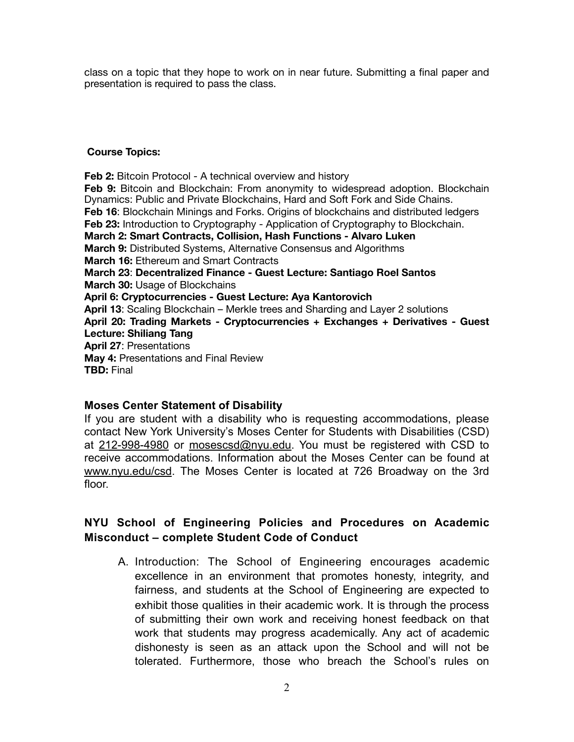class on a topic that they hope to work on in near future. Submitting a final paper and presentation is required to pass the class.

### **Course Topics:**

**Feb 2:** Bitcoin Protocol - A technical overview and history **Feb 9:** Bitcoin and Blockchain: From anonymity to widespread adoption. Blockchain Dynamics: Public and Private Blockchains, Hard and Soft Fork and Side Chains. **Feb 16**: Blockchain Minings and Forks. Origins of blockchains and distributed ledgers **Feb 23:** Introduction to Cryptography - Application of Cryptography to Blockchain. **March 2: Smart Contracts, Collision, Hash Functions - Alvaro Luken March 9:** Distributed Systems, Alternative Consensus and Algorithms **March 16:** Ethereum and Smart Contracts **March 23**: **Decentralized Finance - Guest Lecture: Santiago Roel Santos March 30:** Usage of Blockchains **April 6: Cryptocurrencies - Guest Lecture: Aya Kantorovich April 13**: Scaling Blockchain – Merkle trees and Sharding and Layer 2 solutions **April 20: Trading Markets - Cryptocurrencies + Exchanges + Derivatives - Guest Lecture: Shiliang Tang April 27**: Presentations **May 4:** Presentations and Final Review **TBD:** Final

## **Moses Center Statement of Disability**

If you are student with a disability who is requesting accommodations, please contact New York University's Moses Center for Students with Disabilities (CSD) at 212-998-4980 or [mosescsd@nyu.edu.](mailto:mosescsd@nyu.edu) You must be registered with CSD to receive accommodations. Information about the Moses Center can be found at [www.nyu.edu/csd](http://www.nyu.edu/csd). The Moses Center is located at 726 Broadway on the 3rd floor.

# **NYU School of Engineering Policies and Procedures on Academic Misconduct – complete Student Code of Conduct**

A. Introduction: The School of Engineering encourages academic excellence in an environment that promotes honesty, integrity, and fairness, and students at the School of Engineering are expected to exhibit those qualities in their academic work. It is through the process of submitting their own work and receiving honest feedback on that work that students may progress academically. Any act of academic dishonesty is seen as an attack upon the School and will not be tolerated. Furthermore, those who breach the School's rules on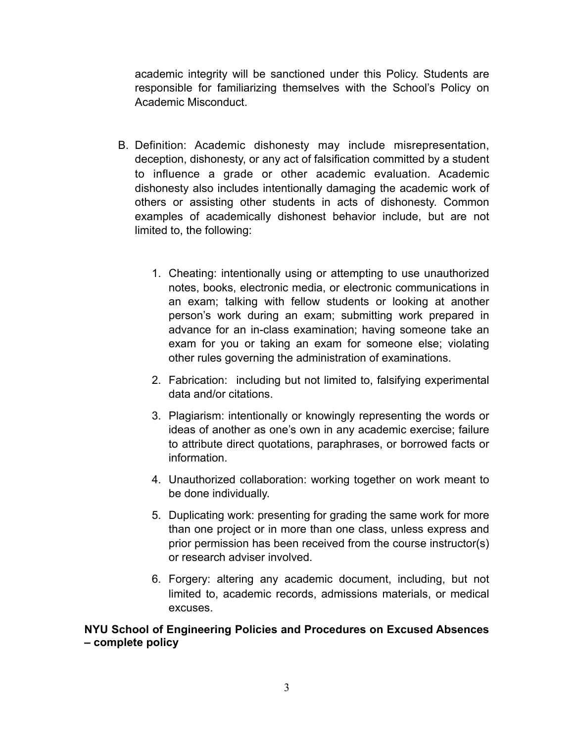academic integrity will be sanctioned under this Policy. Students are responsible for familiarizing themselves with the School's Policy on Academic Misconduct.

- B. Definition: Academic dishonesty may include misrepresentation, deception, dishonesty, or any act of falsification committed by a student to influence a grade or other academic evaluation. Academic dishonesty also includes intentionally damaging the academic work of others or assisting other students in acts of dishonesty. Common examples of academically dishonest behavior include, but are not limited to, the following:
	- 1. Cheating: intentionally using or attempting to use unauthorized notes, books, electronic media, or electronic communications in an exam; talking with fellow students or looking at another person's work during an exam; submitting work prepared in advance for an in-class examination; having someone take an exam for you or taking an exam for someone else; violating other rules governing the administration of examinations.
	- 2. Fabrication: including but not limited to, falsifying experimental data and/or citations.
	- 3. Plagiarism: intentionally or knowingly representing the words or ideas of another as one's own in any academic exercise; failure to attribute direct quotations, paraphrases, or borrowed facts or information.
	- 4. Unauthorized collaboration: working together on work meant to be done individually.
	- 5. Duplicating work: presenting for grading the same work for more than one project or in more than one class, unless express and prior permission has been received from the course instructor(s) or research adviser involved.
	- 6. Forgery: altering any academic document, including, but not limited to, academic records, admissions materials, or medical excuses.

# **NYU School of Engineering Policies and Procedures on Excused Absences – complete policy**